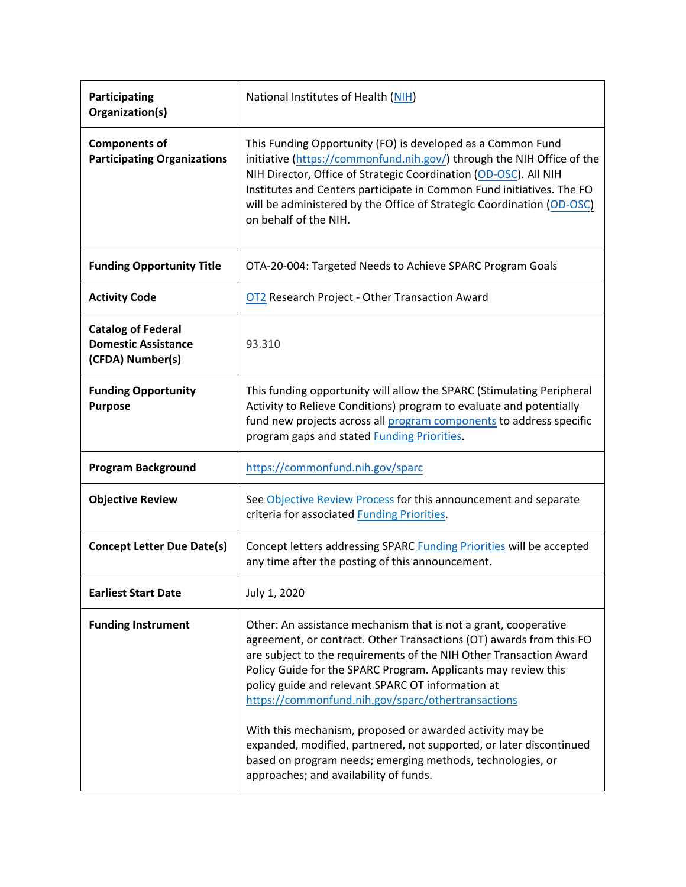| Participating<br>Organization(s)                                            | National Institutes of Health (NIH)                                                                                                                                                                                                                                                                                                                                                                                                                                                                                                                                                                                                  |  |
|-----------------------------------------------------------------------------|--------------------------------------------------------------------------------------------------------------------------------------------------------------------------------------------------------------------------------------------------------------------------------------------------------------------------------------------------------------------------------------------------------------------------------------------------------------------------------------------------------------------------------------------------------------------------------------------------------------------------------------|--|
| <b>Components of</b><br><b>Participating Organizations</b>                  | This Funding Opportunity (FO) is developed as a Common Fund<br>initiative (https://commonfund.nih.gov/) through the NIH Office of the<br>NIH Director, Office of Strategic Coordination (OD-OSC). All NIH<br>Institutes and Centers participate in Common Fund initiatives. The FO<br>will be administered by the Office of Strategic Coordination (OD-OSC)<br>on behalf of the NIH.                                                                                                                                                                                                                                                 |  |
| <b>Funding Opportunity Title</b>                                            | OTA-20-004: Targeted Needs to Achieve SPARC Program Goals                                                                                                                                                                                                                                                                                                                                                                                                                                                                                                                                                                            |  |
| <b>Activity Code</b>                                                        | <b>OT2</b> Research Project - Other Transaction Award                                                                                                                                                                                                                                                                                                                                                                                                                                                                                                                                                                                |  |
| <b>Catalog of Federal</b><br><b>Domestic Assistance</b><br>(CFDA) Number(s) | 93.310                                                                                                                                                                                                                                                                                                                                                                                                                                                                                                                                                                                                                               |  |
| <b>Funding Opportunity</b><br><b>Purpose</b>                                | This funding opportunity will allow the SPARC (Stimulating Peripheral<br>Activity to Relieve Conditions) program to evaluate and potentially<br>fund new projects across all program components to address specific<br>program gaps and stated <b>Funding Priorities</b> .                                                                                                                                                                                                                                                                                                                                                           |  |
| <b>Program Background</b>                                                   | https://commonfund.nih.gov/sparc                                                                                                                                                                                                                                                                                                                                                                                                                                                                                                                                                                                                     |  |
| <b>Objective Review</b>                                                     | See Objective Review Process for this announcement and separate<br>criteria for associated <b>Funding Priorities</b> .                                                                                                                                                                                                                                                                                                                                                                                                                                                                                                               |  |
| <b>Concept Letter Due Date(s)</b>                                           | Concept letters addressing SPARC Funding Priorities will be accepted<br>any time after the posting of this announcement.                                                                                                                                                                                                                                                                                                                                                                                                                                                                                                             |  |
| <b>Earliest Start Date</b>                                                  | July 1, 2020                                                                                                                                                                                                                                                                                                                                                                                                                                                                                                                                                                                                                         |  |
| <b>Funding Instrument</b>                                                   | Other: An assistance mechanism that is not a grant, cooperative<br>agreement, or contract. Other Transactions (OT) awards from this FO<br>are subject to the requirements of the NIH Other Transaction Award<br>Policy Guide for the SPARC Program. Applicants may review this<br>policy guide and relevant SPARC OT information at<br>https://commonfund.nih.gov/sparc/othertransactions<br>With this mechanism, proposed or awarded activity may be<br>expanded, modified, partnered, not supported, or later discontinued<br>based on program needs; emerging methods, technologies, or<br>approaches; and availability of funds. |  |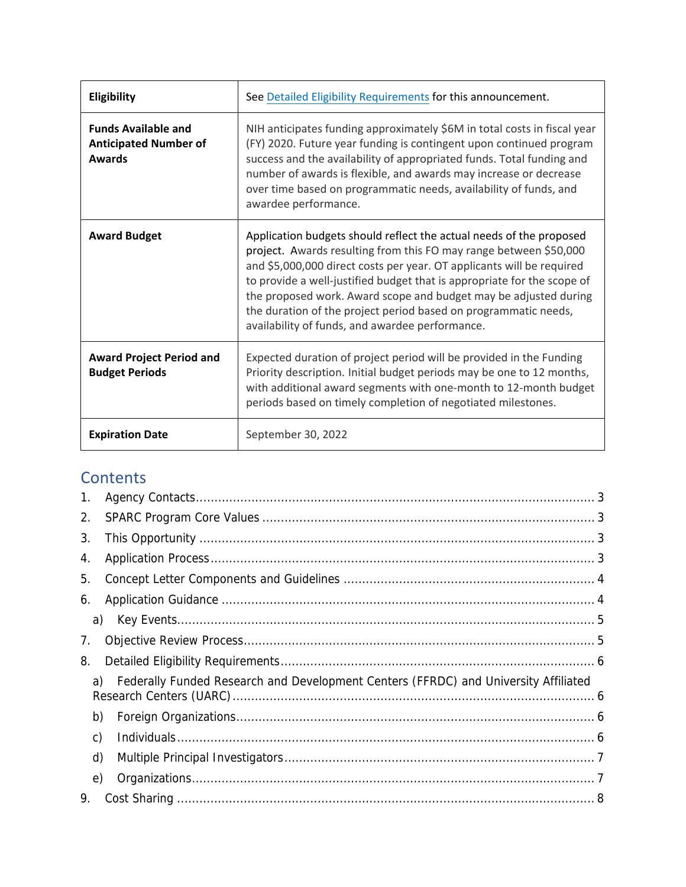| Eligibility                                                                 | See Detailed Eligibility Requirements for this announcement.                                                                                                                                                                                                                                                                                                                                                                                                                           |  |
|-----------------------------------------------------------------------------|----------------------------------------------------------------------------------------------------------------------------------------------------------------------------------------------------------------------------------------------------------------------------------------------------------------------------------------------------------------------------------------------------------------------------------------------------------------------------------------|--|
| <b>Funds Available and</b><br><b>Anticipated Number of</b><br><b>Awards</b> | NIH anticipates funding approximately \$6M in total costs in fiscal year<br>(FY) 2020. Future year funding is contingent upon continued program<br>success and the availability of appropriated funds. Total funding and<br>number of awards is flexible, and awards may increase or decrease<br>over time based on programmatic needs, availability of funds, and<br>awardee performance.                                                                                             |  |
| <b>Award Budget</b>                                                         | Application budgets should reflect the actual needs of the proposed<br>project. Awards resulting from this FO may range between \$50,000<br>and \$5,000,000 direct costs per year. OT applicants will be required<br>to provide a well-justified budget that is appropriate for the scope of<br>the proposed work. Award scope and budget may be adjusted during<br>the duration of the project period based on programmatic needs,<br>availability of funds, and awardee performance. |  |
| <b>Award Project Period and</b><br><b>Budget Periods</b>                    | Expected duration of project period will be provided in the Funding<br>Priority description. Initial budget periods may be one to 12 months,<br>with additional award segments with one-month to 12-month budget<br>periods based on timely completion of negotiated milestones.                                                                                                                                                                                                       |  |
| <b>Expiration Date</b>                                                      | September 30, 2022                                                                                                                                                                                                                                                                                                                                                                                                                                                                     |  |

# **Contents**

| 1. |                                                                                     |  |
|----|-------------------------------------------------------------------------------------|--|
| 2. |                                                                                     |  |
| 3. |                                                                                     |  |
| 4. |                                                                                     |  |
| 5. |                                                                                     |  |
| 6. |                                                                                     |  |
| a) |                                                                                     |  |
| 7. |                                                                                     |  |
| 8. |                                                                                     |  |
| a) | Federally Funded Research and Development Centers (FFRDC) and University Affiliated |  |
| b) |                                                                                     |  |
| C) |                                                                                     |  |
| d) |                                                                                     |  |
| e) |                                                                                     |  |
| 9. |                                                                                     |  |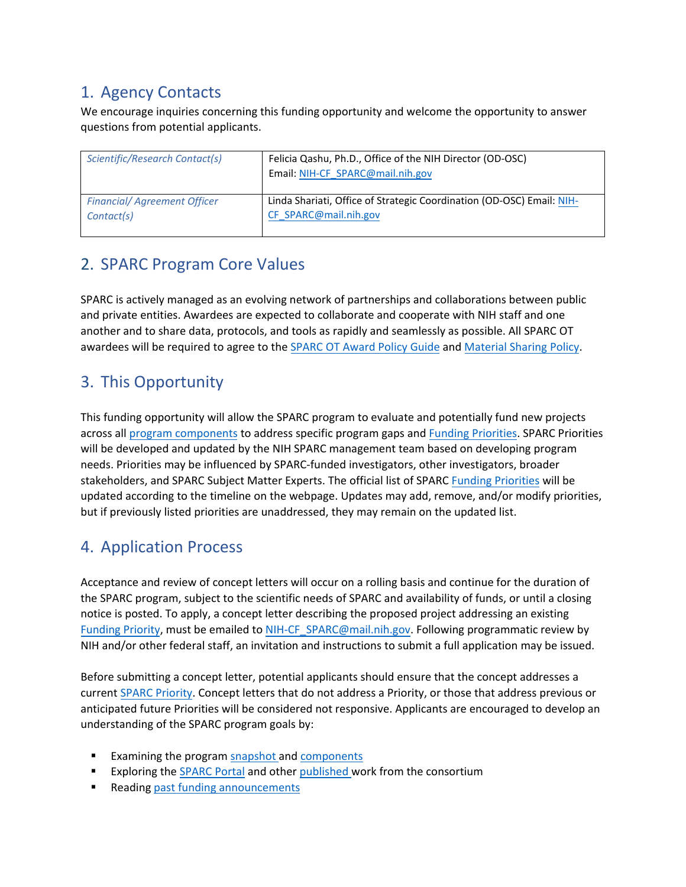# <span id="page-2-0"></span>1. Agency Contacts

We encourage inquiries concerning this funding opportunity and welcome the opportunity to answer questions from potential applicants.

| Scientific/Research Contact(s)     | Felicia Qashu, Ph.D., Office of the NIH Director (OD-OSC)<br>Email: NIH-CF_SPARC@mail.nih.gov |
|------------------------------------|-----------------------------------------------------------------------------------------------|
| <b>Financial/Agreement Officer</b> | Linda Shariati, Office of Strategic Coordination (OD-OSC) Email: NIH-                         |
| Contact(s)                         | CF SPARC@mail.nih.gov                                                                         |

# <span id="page-2-1"></span>2. SPARC Program Core Values

SPARC is actively managed as an evolving network of partnerships and collaborations between public and private entities. Awardees are expected to collaborate and cooperate with NIH staff and one another and to share data, protocols, and tools as rapidly and seamlessly as possible. All SPARC OT awardees will be required to agree to the SPARC OT [Award Policy](https://commonfund.nih.gov/sparc/othertransactions) Guide an[d Material Sharing Policy.](https://commonfund.nih.gov/sparc/othertransactions)

# <span id="page-2-2"></span>3. This Opportunity

This funding opportunity will allow the SPARC program to evaluate and potentially fund new projects across all [program components](https://commonfund.nih.gov/sparc/components-overview) to address specific program gaps and [Funding Priorities.](https://commonfund.nih.gov/sparc/FOApriorities) SPARC Priorities will be developed and updated by the NIH SPARC management team based on developing program needs. Priorities may be influenced by SPARC-funded investigators, other investigators, broader stakeholders, and SPARC Subject Matter Experts. The official list of SPARC Funding [Priorities](https://commonfund.nih.gov/sparc/FOApriorities) will be updated according to the timeline on the webpage. Updates may add, remove, and/or modify priorities, but if previously listed priorities are unaddressed, they may remain on the updated list.

# <span id="page-2-3"></span>4. Application Process

Acceptance and review of concept letters will occur on a rolling basis and continue for the duration of the SPARC program, subject to the scientific needs of SPARC and availability of funds, or until a closing notice is posted. To apply, a concept letter describing the proposed project addressing an existing [Funding Priority,](https://commonfund.nih.gov/sparc/FOApriorities) must be emailed to [NIH-CF\\_SPARC@mail.nih.gov](mailto:NIH-CF_SPARC@mail.nih.gov). Following programmatic review by NIH and/or other federal staff, an invitation and instructions to submit a full application may be issued.

Before submitting a concept letter, potential applicants should ensure that the concept addresses a current [SPARC Priority.](https://commonfund.nih.gov/sparc/FOApriorities) Concept letters that do not address a Priority, or those that address previous or anticipated future Priorities will be considered not responsive. Applicants are encouraged to develop an understanding of the SPARC program goals by:

- Examining the program [snapshot](https://commonfund.nih.gov/sparc) and [components](https://commonfund.nih.gov/sparc/components-overview)
- Exploring the [SPARC Portal](https://sparc.science/) and othe[r published w](https://commonfund.nih.gov/publications?pid=39)ork from the consortium
- Reading [past funding announcements](https://commonfund.nih.gov/sparc/grants#archive)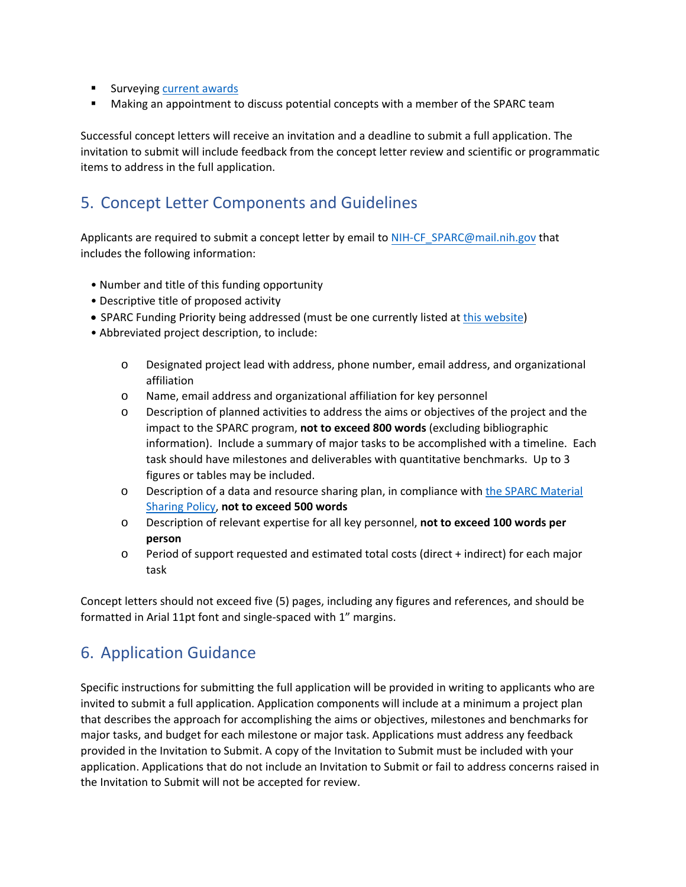- **Surveyin[g current awards](https://commonfund.nih.gov/sparc/fundedresearch)**
- **Making an appointment to discuss potential concepts with a member of the SPARC team**

Successful concept letters will receive an invitation and a deadline to submit a full application. The invitation to submit will include feedback from the concept letter review and scientific or programmatic items to address in the full application.

# <span id="page-3-0"></span>5. Concept Letter Components and Guidelines

Applicants are required to submit a concept letter by email to [NIH-CF\\_SPARC@mail.nih.gov](mailto:NIH-CF_SPARC@mail.nih.gov) that includes the following information:

- Number and title of this funding opportunity
- Descriptive title of proposed activity
- SPARC Funding Priority being addressed (must be one currently listed a[t this website\)](https://commonfund.nih.gov/sparc/FOApriorities)
- Abbreviated project description, to include:
	- o Designated project lead with address, phone number, email address, and organizational affiliation
	- o Name, email address and organizational affiliation for key personnel
	- o Description of planned activities to address the aims or objectives of the project and the impact to the SPARC program, **not to exceed 800 words** (excluding bibliographic information). Include a summary of major tasks to be accomplished with a timeline. Each task should have milestones and deliverables with quantitative benchmarks. Up to 3 figures or tables may be included.
	- o Description of a data and resource sharing plan, in compliance wit[h the SPARC Material](https://commonfund.nih.gov/sparc/othertransactions) [Sharing Policy,](https://commonfund.nih.gov/sparc/othertransactions) **not to exceed 500 words**
	- o Description of relevant expertise for all key personnel, **not to exceed 100 words per person**
	- o Period of support requested and estimated total costs (direct + indirect) for each major task

Concept letters should not exceed five (5) pages, including any figures and references, and should be formatted in Arial 11pt font and single-spaced with 1" margins.

## <span id="page-3-1"></span>6. Application Guidance

Specific instructions for submitting the full application will be provided in writing to applicants who are invited to submit a full application. Application components will include at a minimum a project plan that describes the approach for accomplishing the aims or objectives, milestones and benchmarks for major tasks, and budget for each milestone or major task. Applications must address any feedback provided in the Invitation to Submit. A copy of the Invitation to Submit must be included with your application. Applications that do not include an Invitation to Submit or fail to address concerns raised in the Invitation to Submit will not be accepted for review.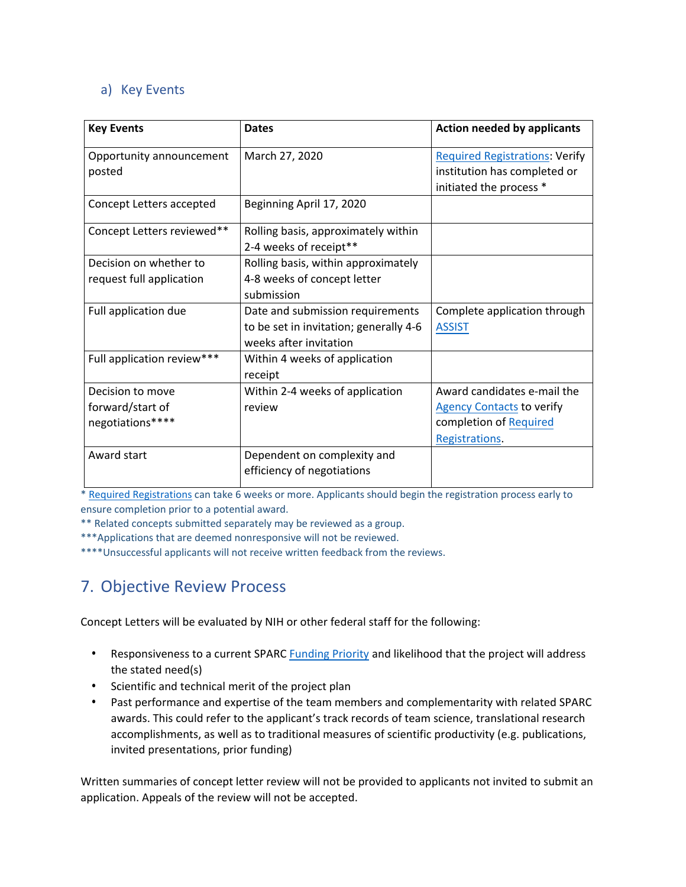#### <span id="page-4-1"></span>a) Key Events

| <b>Key Events</b>          | <b>Dates</b>                           | <b>Action needed by applicants</b>                      |
|----------------------------|----------------------------------------|---------------------------------------------------------|
| Opportunity announcement   | March 27, 2020                         | <b>Required Registrations: Verify</b>                   |
| posted                     |                                        | institution has completed or<br>initiated the process * |
| Concept Letters accepted   | Beginning April 17, 2020               |                                                         |
| Concept Letters reviewed** | Rolling basis, approximately within    |                                                         |
|                            | 2-4 weeks of receipt**                 |                                                         |
| Decision on whether to     | Rolling basis, within approximately    |                                                         |
| request full application   | 4-8 weeks of concept letter            |                                                         |
|                            | submission                             |                                                         |
| Full application due       | Date and submission requirements       | Complete application through                            |
|                            | to be set in invitation; generally 4-6 | <b>ASSIST</b>                                           |
|                            | weeks after invitation                 |                                                         |
| Full application review*** | Within 4 weeks of application          |                                                         |
|                            | receipt                                |                                                         |
| Decision to move           | Within 2-4 weeks of application        | Award candidates e-mail the                             |
| forward/start of           | review                                 | <b>Agency Contacts to verify</b>                        |
| negotiations****           |                                        | completion of Required                                  |
|                            |                                        | Registrations.                                          |
| Award start                | Dependent on complexity and            |                                                         |
|                            | efficiency of negotiations             |                                                         |

\* [Required Registrations](https://grants.nih.gov/grants/how-to-apply-application-guide/prepare-to-apply-and-register/registration/org-representative-registration.htm) can take 6 weeks or more. Applicants should begin the registration process early to ensure completion prior to a potential award.

\*\* Related concepts submitted separately may be reviewed as a group.

\*\*\*Applications that are deemed nonresponsive will not be reviewed.

\*\*\*\*Unsuccessful applicants will not receive written feedback from the reviews.

# <span id="page-4-0"></span>7. Objective Review Process

Concept Letters will be evaluated by NIH or other federal staff for the following:

- Responsiveness to a current SPARC [Funding Priority](https://commonfund.nih.gov/sparc/FOApriorities) and likelihood that the project will address the stated need(s)
- Scientific and technical merit of the project plan
- Past performance and expertise of the team members and complementarity with related SPARC awards. This could refer to the applicant's track records of team science, translational research accomplishments, as well as to traditional measures of scientific productivity (e.g. publications, invited presentations, prior funding)

Written summaries of concept letter review will not be provided to applicants not invited to submit an application. Appeals of the review will not be accepted.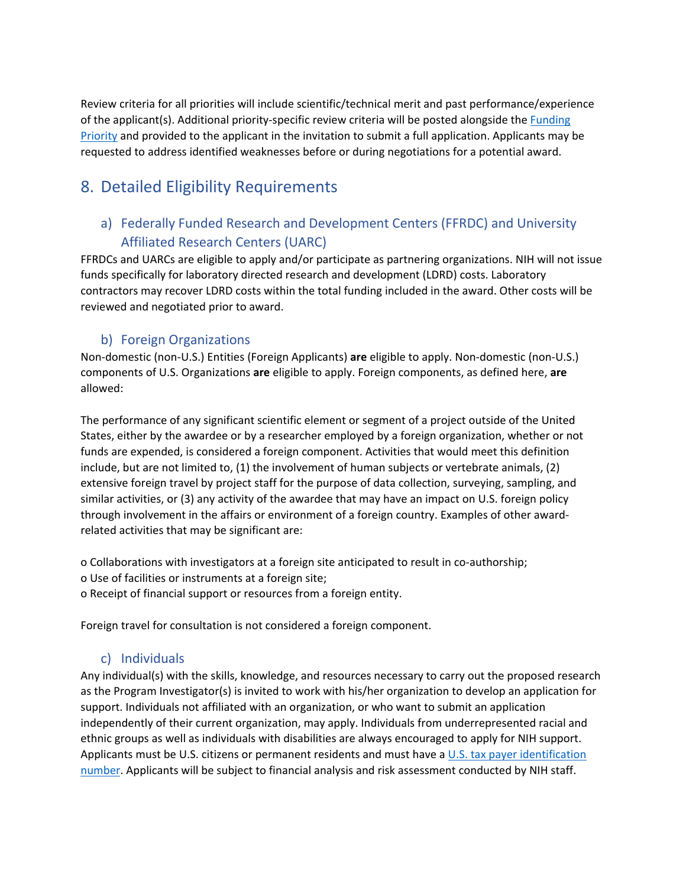Review criteria for all priorities will include scientific/technical merit and past performance/experience of the applicant(s). Additional priority-specific review criteria will be posted alongside the [Funding](https://commonfund.nih.gov/sparc/FOApriorities)  [Priority](https://commonfund.nih.gov/sparc/FOApriorities) and provided to the applicant in the invitation to submit a full application. Applicants may be requested to address identified weaknesses before or during negotiations for a potential award.

# <span id="page-5-0"></span>8. Detailed Eligibility Requirements

## <span id="page-5-1"></span>a) Federally Funded Research and Development Centers (FFRDC) and University Affiliated Research Centers (UARC)

FFRDCs and UARCs are eligible to apply and/or participate as partnering organizations. NIH will not issue funds specifically for laboratory directed research and development (LDRD) costs. Laboratory contractors may recover LDRD costs within the total funding included in the award. Other costs will be reviewed and negotiated prior to award.

### b) Foreign Organizations

<span id="page-5-2"></span>Non-domestic (non-U.S.) Entities (Foreign Applicants) **are** eligible to apply. Non-domestic (non-U.S.) components of U.S. Organizations **are** eligible to apply. Foreign components, as defined here, **are**  allowed:

The performance of any significant scientific element or segment of a project outside of the United States, either by the awardee or by a researcher employed by a foreign organization, whether or not funds are expended, is considered a foreign component. Activities that would meet this definition include, but are not limited to, (1) the involvement of human subjects or vertebrate animals, (2) extensive foreign travel by project staff for the purpose of data collection, surveying, sampling, and similar activities, or (3) any activity of the awardee that may have an impact on U.S. foreign policy through involvement in the affairs or environment of a foreign country. Examples of other awardrelated activities that may be significant are:

o Collaborations with investigators at a foreign site anticipated to result in co-authorship;

- o Use of facilities or instruments at a foreign site;
- o Receipt of financial support or resources from a foreign entity.

Foreign travel for consultation is not considered a foreign component.

#### c) Individuals

<span id="page-5-3"></span>Any individual(s) with the skills, knowledge, and resources necessary to carry out the proposed research as the Program Investigator(s) is invited to work with his/her organization to develop an application for support. Individuals not affiliated with an organization, or who want to submit an application independently of their current organization, may apply. Individuals from underrepresented racial and ethnic groups as well as individuals with disabilities are always encouraged to apply for NIH support. Applicants must be U.S. citizens or permanent residents and must have a U.S. tax payer identification [number.](https://www.irs.gov/individuals/international-taxpayers/taxpayer-identification-numbers-tin) Applicants will be subject to financial analysis and risk assessment conducted by NIH staff.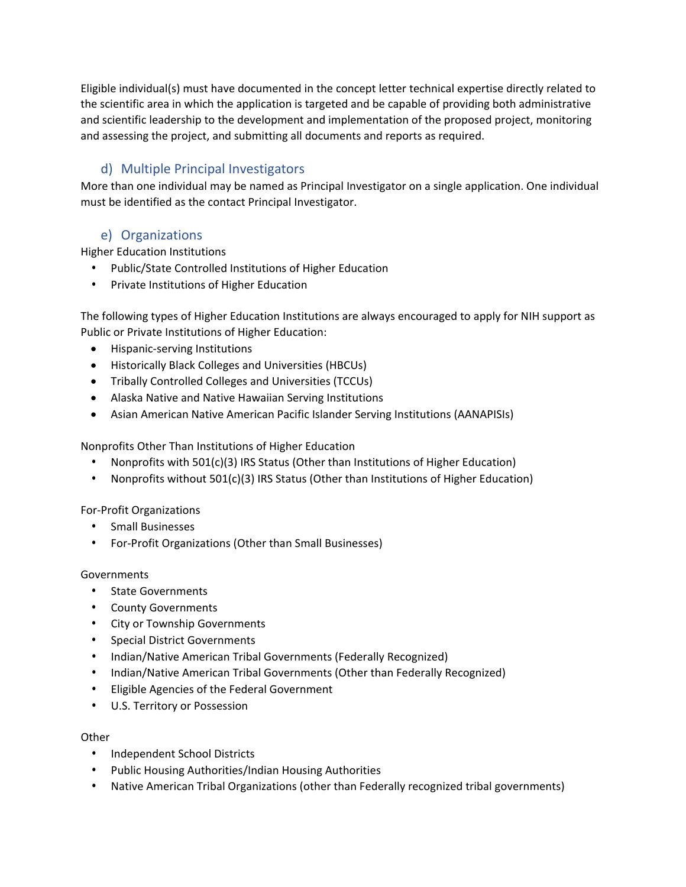Eligible individual(s) must have documented in the concept letter technical expertise directly related to the scientific area in which the application is targeted and be capable of providing both administrative and scientific leadership to the development and implementation of the proposed project, monitoring and assessing the project, and submitting all documents and reports as required.

## d) Multiple Principal Investigators

<span id="page-6-0"></span>More than one individual may be named as Principal Investigator on a single application. One individual must be identified as the contact Principal Investigator.

#### <span id="page-6-1"></span>e) Organizations

Higher Education Institutions

- Public/State Controlled Institutions of Higher Education
- Private Institutions of Higher Education

The following types of Higher Education Institutions are always encouraged to apply for NIH support as Public or Private Institutions of Higher Education:

- Hispanic-serving Institutions
- Historically Black Colleges and Universities (HBCUs)
- Tribally Controlled Colleges and Universities (TCCUs)
- Alaska Native and Native Hawaiian Serving Institutions
- Asian American Native American Pacific Islander Serving Institutions (AANAPISIs)

Nonprofits Other Than Institutions of Higher Education

- Nonprofits with 501(c)(3) IRS Status (Other than Institutions of Higher Education)
- Nonprofits without 501(c)(3) IRS Status (Other than Institutions of Higher Education)

#### For-Profit Organizations

- Small Businesses
- For-Profit Organizations (Other than Small Businesses)

#### Governments

- State Governments
- County Governments
- City or Township Governments
- Special District Governments
- Indian/Native American Tribal Governments (Federally Recognized)
- Indian/Native American Tribal Governments (Other than Federally Recognized)
- Eligible Agencies of the Federal Government
- U.S. Territory or Possession

#### **Other**

- Independent School Districts
- Public Housing Authorities/Indian Housing Authorities
- Native American Tribal Organizations (other than Federally recognized tribal governments)